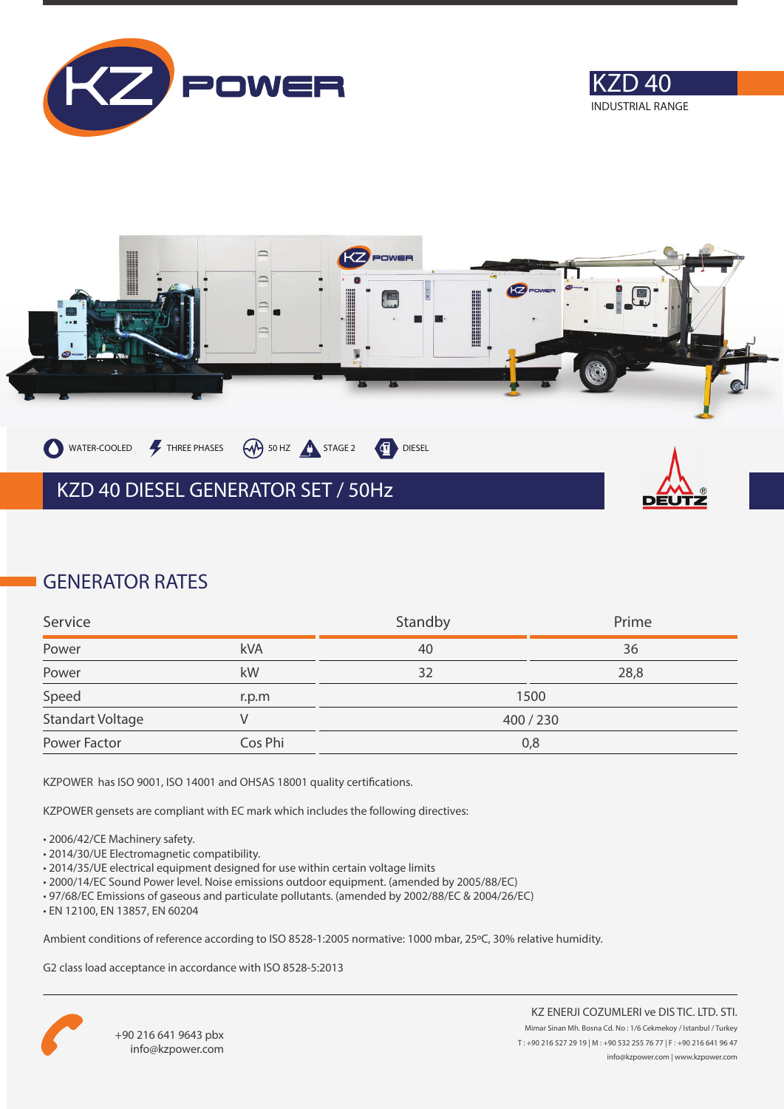





### **GENERATOR RATES**

| Service                 |         | Standby | Prime |
|-------------------------|---------|---------|-------|
| Power                   | kVA     | 40      | 36    |
| Power                   | kW      | 32      | 28,8  |
| Speed                   | r.p.m   | 1500    |       |
| <b>Standart Voltage</b> |         | 400/230 |       |
| Power Factor            | Cos Phi | 0,8     |       |

KZPOWER has ISO 9001, ISO 14001 and OHSAS 18001 quality certifications.

KZPOWER gensets are compliant with EC mark which includes the following directives:

- 2006/42/CE Machinery safety.
- 2014/30/UE Electromagnetic compatibility.
- 2014/35/UE electrical equipment designed for use within certain voltage limits
- 2000/14/EC Sound Power level. Noise emissions outdoor equipment. (amended by 2005/88/EC)
- 97/68/EC Emissions of gaseous and particulate pollutants. (amended by 2002/88/EC & 2004/26/EC)
- EN 12100, EN 13857, EN 60204

Ambient conditions of reference according to ISO 8528-1:2005 normative: 1000 mbar, 25ºC, 30% relative humidity.

G2 class load acceptance in accordance with ISO 8528-5:2013

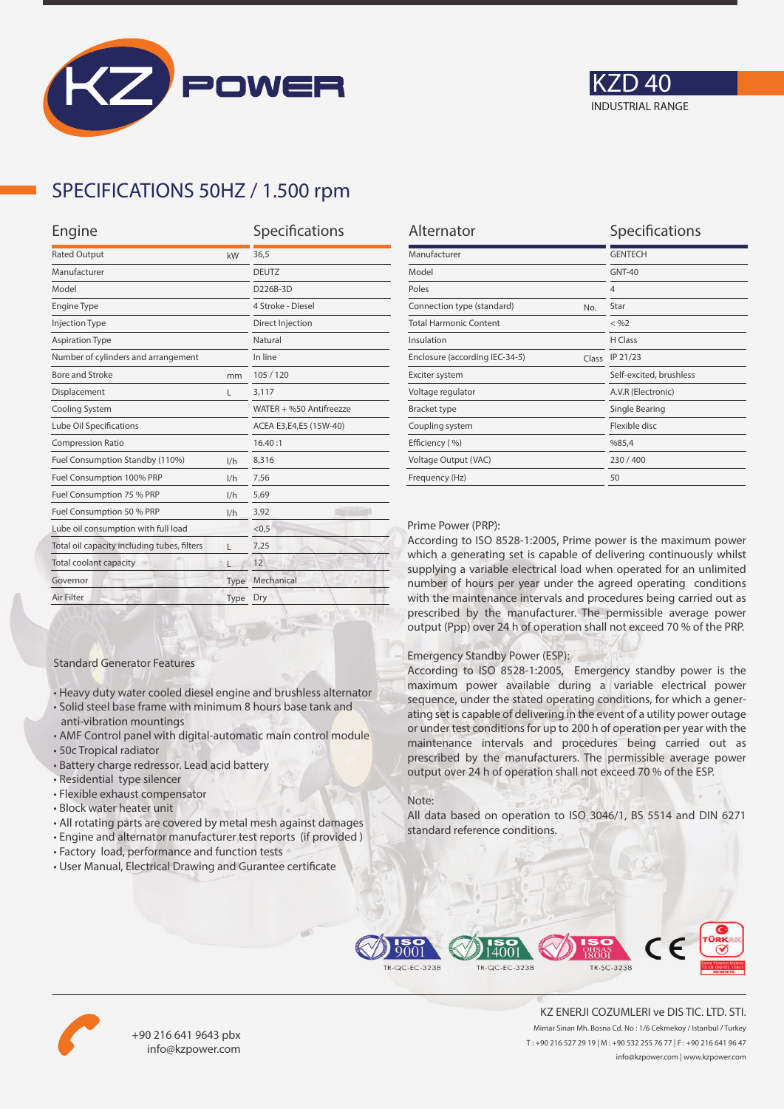



## **SPECIFICATIONS 50HZ / 1.500 rpm**

| Engine                                           | Specifications |                         |
|--------------------------------------------------|----------------|-------------------------|
| <b>Rated Output</b><br>kW                        |                | 36,5                    |
| Manufacturer                                     |                | <b>DEUTZ</b>            |
| Model                                            |                | D226B-3D                |
| <b>Engine Type</b>                               |                | 4 Stroke - Diesel       |
| <b>Injection Type</b>                            |                | Direct Injection        |
| <b>Aspiration Type</b>                           | Natural        |                         |
| Number of cylinders and arrangement              |                | In line                 |
| Bore and Stroke<br>mm                            |                | 105/120                 |
| Displacement                                     | L              | 3,117                   |
| Cooling System                                   |                | WATER + %50 Antifreezze |
| Lube Oil Specifications                          |                | ACEA E3,E4,E5 (15W-40)  |
| <b>Compression Ratio</b>                         |                | 16.40:1                 |
| Fuel Consumption Standby (110%)                  | 1/h            | 8,316                   |
| Fuel Consumption 100% PRP                        |                | 7,56                    |
| Fuel Consumption 75 % PRP<br>1/h                 |                | 5,69                    |
| Fuel Consumption 50 % PRP                        | 1/h            | 3,92                    |
| Lube oil consumption with full load              |                | < 0.5                   |
| Total oil capacity including tubes, filters<br>г |                | 7,25                    |
| Total coolant capacity                           |                | 12                      |
| Governor<br>Type                                 |                | Mechanical              |
| Air Filter<br>Type                               |                | Dry                     |
|                                                  |                |                         |

| <b>GENTECH</b><br><b>GNT-40</b><br>$\overline{4}$ |
|---------------------------------------------------|
|                                                   |
|                                                   |
|                                                   |
| Star                                              |
| $<$ %2                                            |
| <b>H</b> Class                                    |
| IP 21/23                                          |
| Self-excited, brushless                           |
| A.V.R (Electronic)                                |
| Single Bearing                                    |
| Flexible disc                                     |
| %85,4                                             |
| 230/400                                           |
| 50                                                |
|                                                   |

#### Prime Power (PRP):

According to ISO 8528-1:2005, Prime power is the maximum power which a generating set is capable of delivering continuously whilst supplying a variable electrical load when operated for an unlimited number of hours per year under the agreed operating conditions with the maintenance intervals and procedures being carried out as prescribed by the manufacturer. The permissible average power output (Ppp) over 24 h of operation shall not exceed 70 % of the PRP.

#### Emergency Standby Power (ESP):

According to ISO 8528-1:2005, Emergency standby power is the maximum power available during a variable electrical power sequence, under the stated operating conditions, for which a generating set is capable of delivering in the event of a utility power outage or under test conditions for up to 200 h of operation per year with the maintenance intervals and procedures being carried out as prescribed by the manufacturers. The permissible average power output over 24 h of operation shall not exceed 70 % of the ESP.

#### Note:

All data based on operation to ISO 3046/1, BS 5514 and DIN 6271 standard reference conditions.



• All rotating parts are covered by metal mesh against damages • Engine and alternator manufacturer test reports (if provided )

• Heavy duty water cooled diesel engine and brushless alternator • Solid steel base frame with minimum 8 hours base tank and

• AMF Control panel with digital-automatic main control module

Standard Generator Features

anti-vibration mountings

• Residential type silencer • Flexible exhaust compensator • Block water heater unit

• Battery charge redressor. Lead acid battery

• 50c Tropical radiator

• User Manual, Electrical Drawing and Gurantee certificate





+90 216 641 9643 pbx info@kzpower.com

KZ ENERJI COZUMLERI ve DIS TIC. LTD. STI. Mimar Sinan Mh. Bosna Cd. No : 1/6 Cekmekoy / Istanbul / Turkey T : +90 216 527 29 19 | M : +90 532 255 76 77 | F : +90 216 641 96 47 info@kzpower.com | www.kzpower.com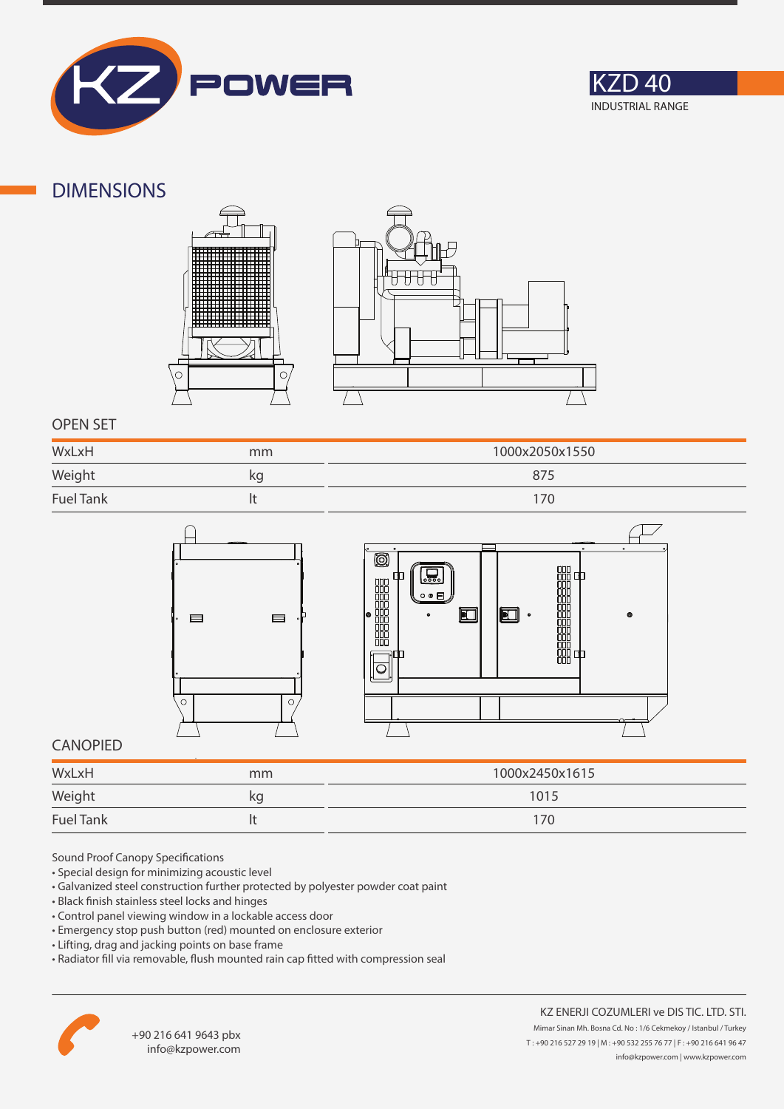



### **DIMENSIONS**





### **OPEN SET**

| WxLxH            | mm | 1000x2050x1550 |
|------------------|----|----------------|
| Weight           | kg | 875            |
| <b>Fuel Tank</b> |    | 176            |





### **CANOPIED**

| WxLxH            | mm | 1000x2450x1615 |
|------------------|----|----------------|
| Weight           | κg | 1015           |
| <b>Fuel Tank</b> |    | 170            |

Sound Proof Canopy Specifications

- Special design for minimizing acoustic level
- Galvanized steel construction further protected by polyester powder coat paint
- Black finish stainless steel locks and hinges
- Control panel viewing window in a lockable access door
- Emergency stop push button (red) mounted on enclosure exterior
- Lifting, drag and jacking points on base frame
- Radiator fill via removable, flush mounted rain cap fitted with compression seal